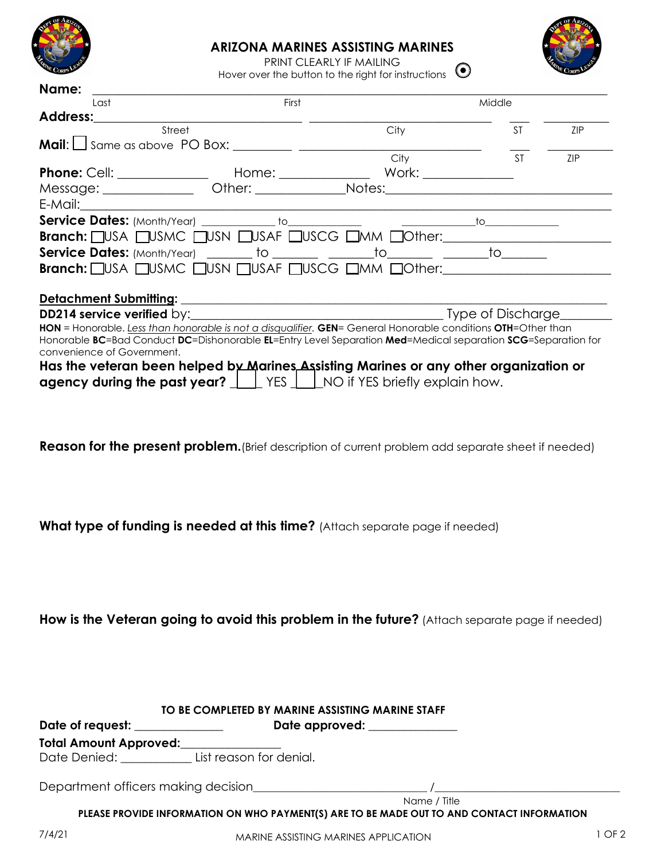

## **ARIZONA MARINES ASSISTING MARINES**



PRINT CLEARLY IF MAILING Hover over the button to the right for instructions  $\odot$ 

| Name:                                                          |       |                                                                                                              |           |            |  |
|----------------------------------------------------------------|-------|--------------------------------------------------------------------------------------------------------------|-----------|------------|--|
| Last                                                           | First |                                                                                                              | Middle    |            |  |
| Address:                                                       |       |                                                                                                              |           |            |  |
| Street                                                         |       | City                                                                                                         | <b>ST</b> | <b>ZIP</b> |  |
| <b>Mail:</b> $\Box$ Same as above PO Box: $\Box$ $\Box$ $\Box$ |       |                                                                                                              |           |            |  |
|                                                                |       | City                                                                                                         | <b>ST</b> | <b>ZIP</b> |  |
|                                                                |       |                                                                                                              |           |            |  |
|                                                                |       |                                                                                                              |           |            |  |
| $E-Mail:$                                                      |       |                                                                                                              |           |            |  |
|                                                                |       |                                                                                                              |           |            |  |
|                                                                |       | Branch: USA UUSMC UUSN UUSAF UUSCG UMM UOther:                                                               |           |            |  |
|                                                                |       |                                                                                                              |           |            |  |
|                                                                |       | Branch: USA USMC USN USAF USCG UMM UOther:                                                                   |           |            |  |
|                                                                |       |                                                                                                              |           |            |  |
|                                                                |       |                                                                                                              |           |            |  |
|                                                                |       |                                                                                                              |           |            |  |
|                                                                |       | HON = Honorable. Less than honorable is not a disqualifier. GEN= General Honorable conditions OTH=Other than |           |            |  |
|                                                                |       | Honorable BC=Bad Conduct DC=Dishonorable EL=Entry Level Separation Med=Medical separation SCG=Separation for |           |            |  |
| convenience of Government.                                     |       |                                                                                                              |           |            |  |
|                                                                |       | Has the veteran been helped by Marines Assisting Marines or any other organization or                        |           |            |  |
|                                                                |       | <b>agency during the past year?</b> $\Box$ YES $\Box$ NO if YES briefly explain how.                         |           |            |  |
|                                                                |       |                                                                                                              |           |            |  |

**Reason for the present problem.** (Brief description of current problem add separate sheet if needed)

**What type of funding is needed at this time?** (Attach separate page if needed)

**How is the Veteran going to avoid this problem in the future?** (Attach separate page if needed)

| Date of request: ______________      | Date approved: _____________ |  |
|--------------------------------------|------------------------------|--|
| Total Amount Approved: _____________ |                              |  |
| Date Denied: List reason for denial. |                              |  |
|                                      |                              |  |